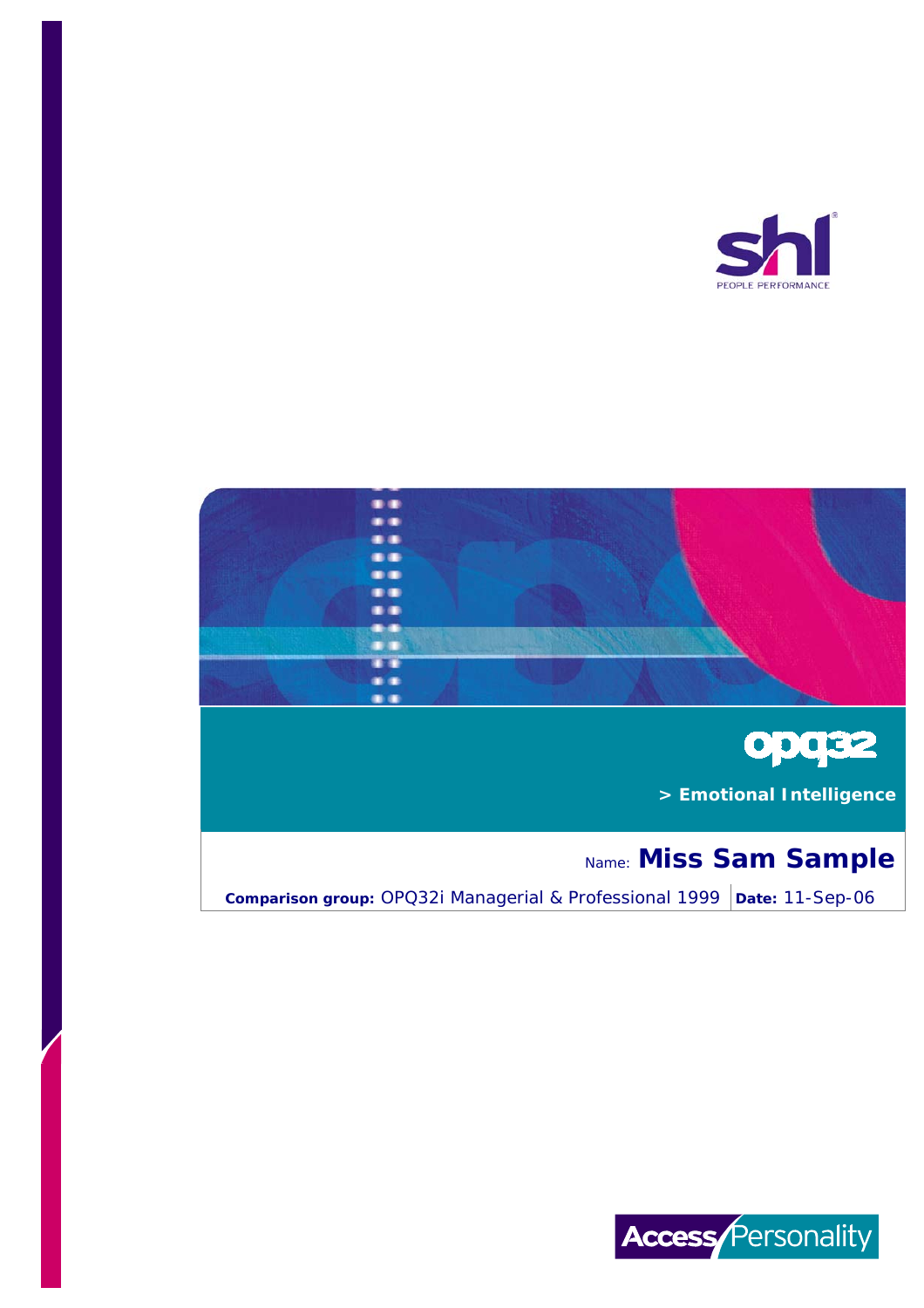





 **> Emotional Intelligence**

# Name: **Miss Sam Sample**

**Comparison group:** OPQ32i Managerial & Professional 1999 | Date: 11-Sep-06

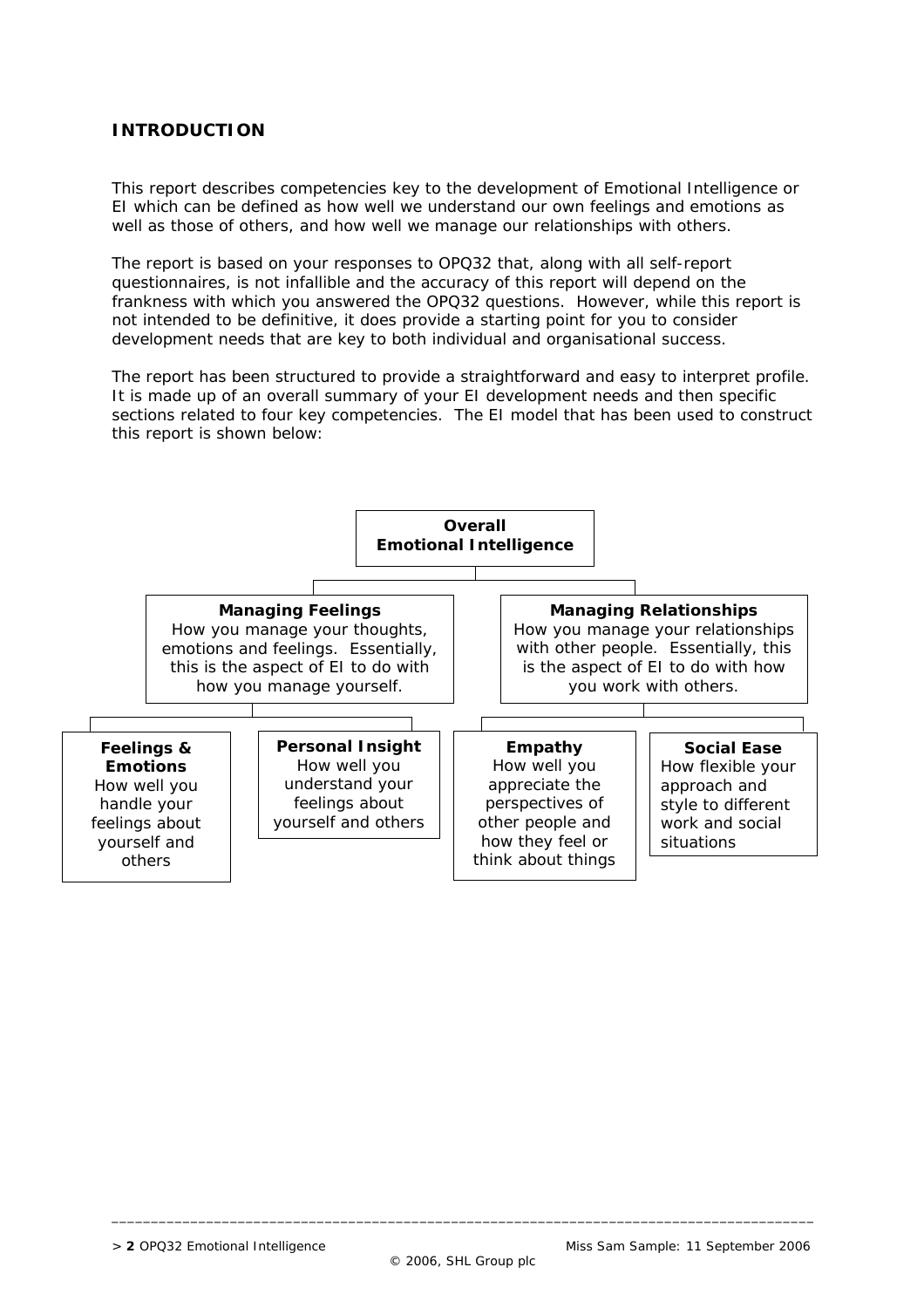# **INTRODUCTION**

This report describes competencies key to the development of Emotional Intelligence or EI which can be defined as how well we understand our own feelings and emotions as well as those of others, and how well we manage our relationships with others.

The report is based on your responses to OPQ32 that, along with all self-report questionnaires, is not infallible and the accuracy of this report will depend on the frankness with which you answered the OPQ32 questions. However, while this report is not intended to be definitive, it does provide a starting point for you to consider development needs that are key to both individual and organisational success.

The report has been structured to provide a straightforward and easy to interpret profile. It is made up of an overall summary of your EI development needs and then specific sections related to four key competencies. The EI model that has been used to construct this report is shown below:

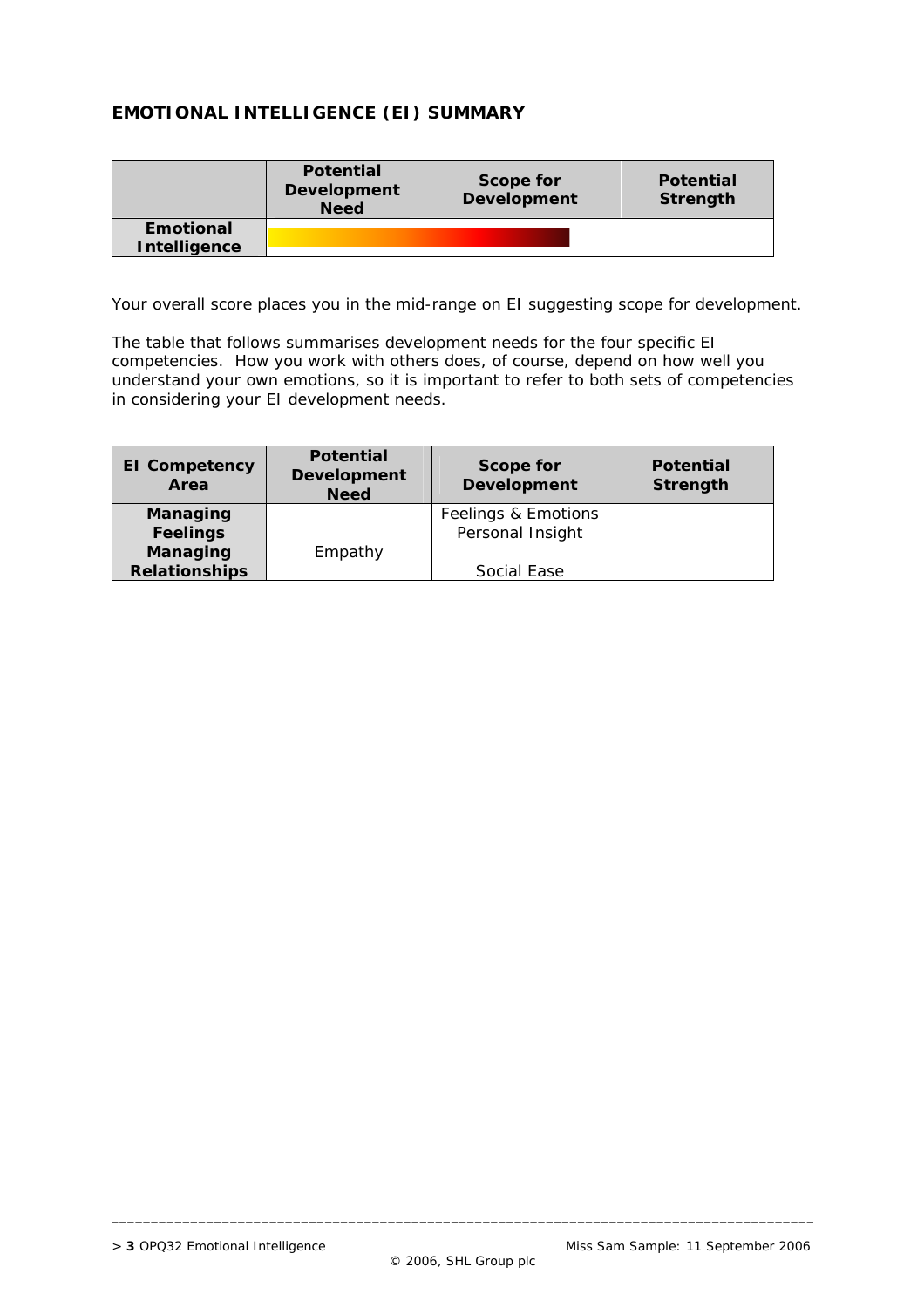# **EMOTIONAL INTELLIGENCE (EI) SUMMARY**

|              | <b>Potential</b><br><b>Development</b><br><b>Need</b> | Scope for<br><b>Development</b> | <b>Potential</b><br>Strength |
|--------------|-------------------------------------------------------|---------------------------------|------------------------------|
| Emotional    |                                                       |                                 |                              |
|              |                                                       |                                 |                              |
| Intelligence |                                                       |                                 |                              |

Your overall score places you in the mid-range on EI suggesting scope for development.

The table that follows summarises development needs for the four specific EI competencies. How you work with others does, of course, depend on how well you understand your own emotions, so it is important to refer to both sets of competencies in considering your EI development needs.

| <b>El Competency</b><br>Area | <b>Potential</b><br><b>Development</b><br><b>Need</b> | Scope for<br><b>Development</b> | <b>Potential</b><br>Strength |
|------------------------------|-------------------------------------------------------|---------------------------------|------------------------------|
| Managing                     |                                                       | Feelings & Emotions             |                              |
| <b>Feelings</b>              |                                                       | Personal Insight                |                              |
| Managing                     | Empathy                                               |                                 |                              |
| <b>Relationships</b>         |                                                       | Social Ease                     |                              |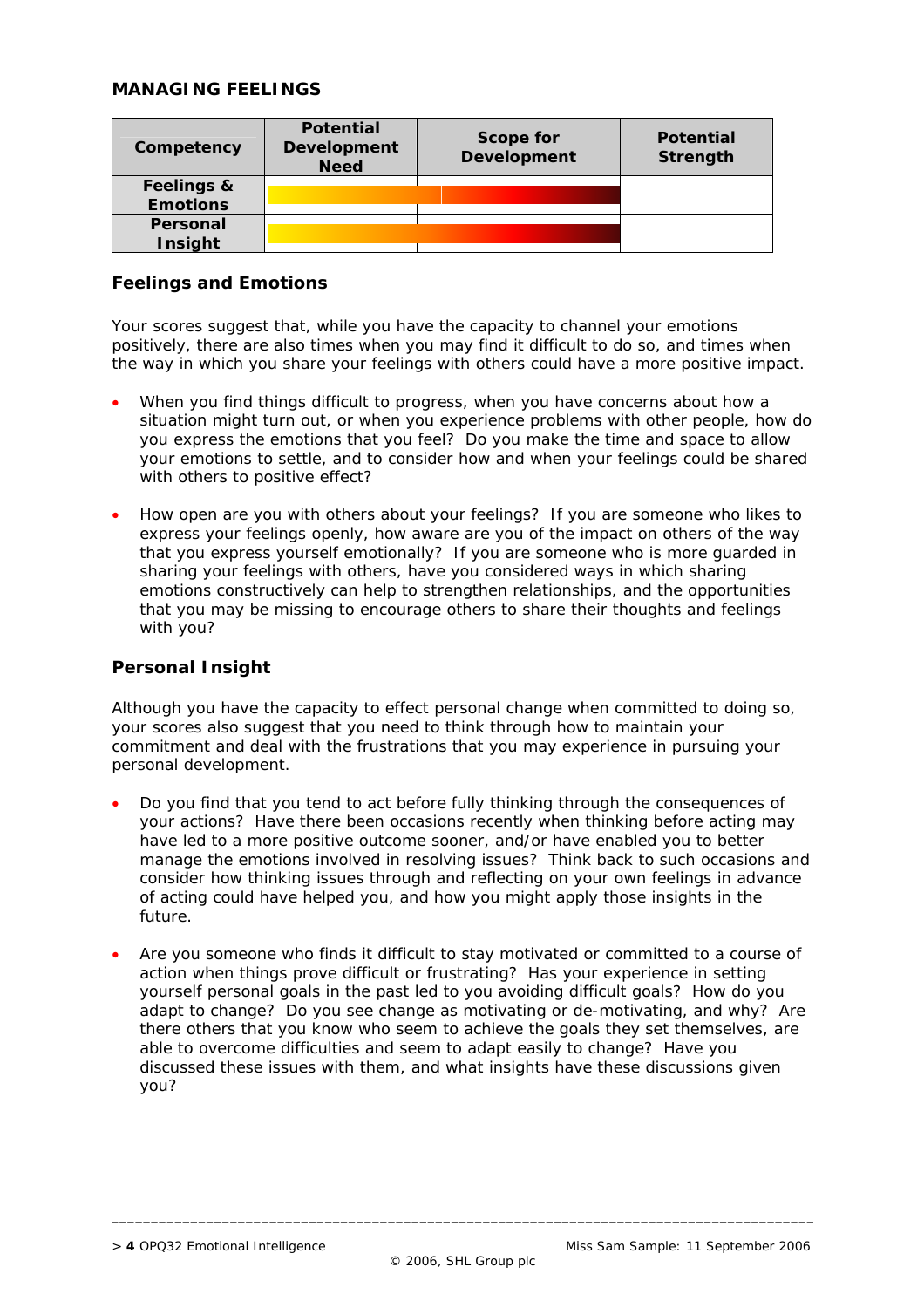#### **MANAGING FEELINGS**

| Competency            | <b>Potential</b><br><b>Development</b><br><b>Need</b> | Scope for<br><b>Development</b> | <b>Potential</b><br>Strength |
|-----------------------|-------------------------------------------------------|---------------------------------|------------------------------|
| <b>Feelings &amp;</b> |                                                       |                                 |                              |
| <b>Emotions</b>       |                                                       |                                 |                              |
| Personal              |                                                       |                                 |                              |
| <b>Insight</b>        |                                                       |                                 |                              |

### **Feelings and Emotions**

Your scores suggest that, while you have the capacity to channel your emotions positively, there are also times when you may find it difficult to do so, and times when the way in which you share your feelings with others could have a more positive impact.

- When you find things difficult to progress, when you have concerns about how a situation might turn out, or when you experience problems with other people, how do you express the emotions that you feel? Do you make the time and space to allow your emotions to settle, and to consider how and when your feelings could be shared with others to positive effect?
- How open are you with others about your feelings? If you are someone who likes to express your feelings openly, how aware are you of the impact on others of the way that you express yourself emotionally? If you are someone who is more guarded in sharing your feelings with others, have you considered ways in which sharing emotions constructively can help to strengthen relationships, and the opportunities that you may be missing to encourage others to share their thoughts and feelings with you?

#### **Personal Insight**

Although you have the capacity to effect personal change when committed to doing so, your scores also suggest that you need to think through how to maintain your commitment and deal with the frustrations that you may experience in pursuing your personal development.

- Do you find that you tend to act before fully thinking through the consequences of your actions? Have there been occasions recently when thinking before acting may have led to a more positive outcome sooner, and/or have enabled you to better manage the emotions involved in resolving issues? Think back to such occasions and consider how thinking issues through and reflecting on your own feelings in advance of acting could have helped you, and how you might apply those insights in the future.
- Are you someone who finds it difficult to stay motivated or committed to a course of action when things prove difficult or frustrating? Has your experience in setting yourself personal goals in the past led to you avoiding difficult goals? How do you adapt to change? Do you see change as motivating or de-motivating, and why? Are there others that you know who seem to achieve the goals they set themselves, are able to overcome difficulties and seem to adapt easily to change? Have you discussed these issues with them, and what insights have these discussions given you?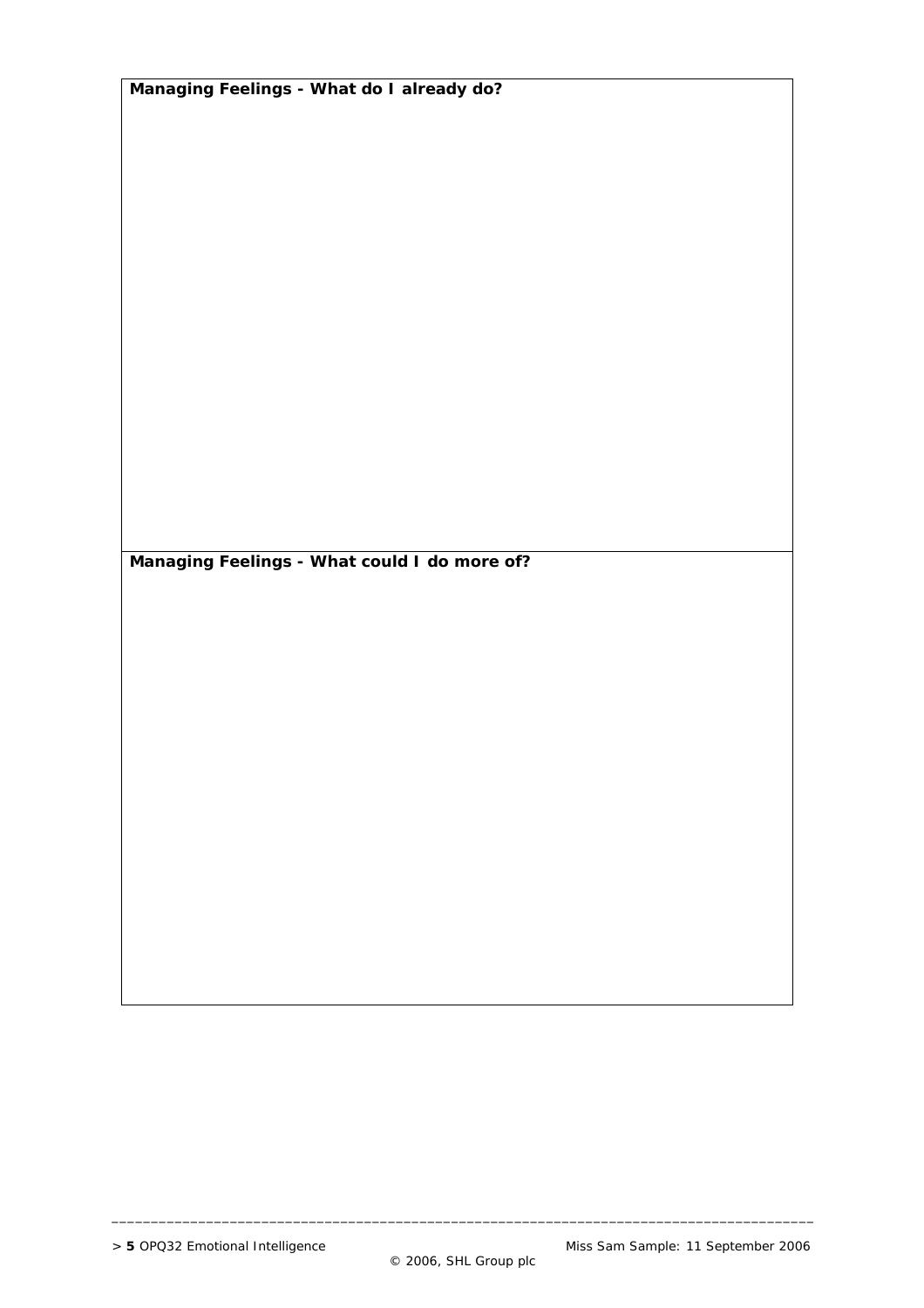| Managing Feelings - What do I already do?    |
|----------------------------------------------|
|                                              |
|                                              |
|                                              |
|                                              |
|                                              |
|                                              |
|                                              |
|                                              |
|                                              |
|                                              |
|                                              |
|                                              |
|                                              |
|                                              |
|                                              |
|                                              |
|                                              |
|                                              |
| Managing Feelings - What could I do more of? |
|                                              |
|                                              |
|                                              |
|                                              |
|                                              |
|                                              |
|                                              |
|                                              |
|                                              |
|                                              |
|                                              |
|                                              |
|                                              |
|                                              |
|                                              |
|                                              |
|                                              |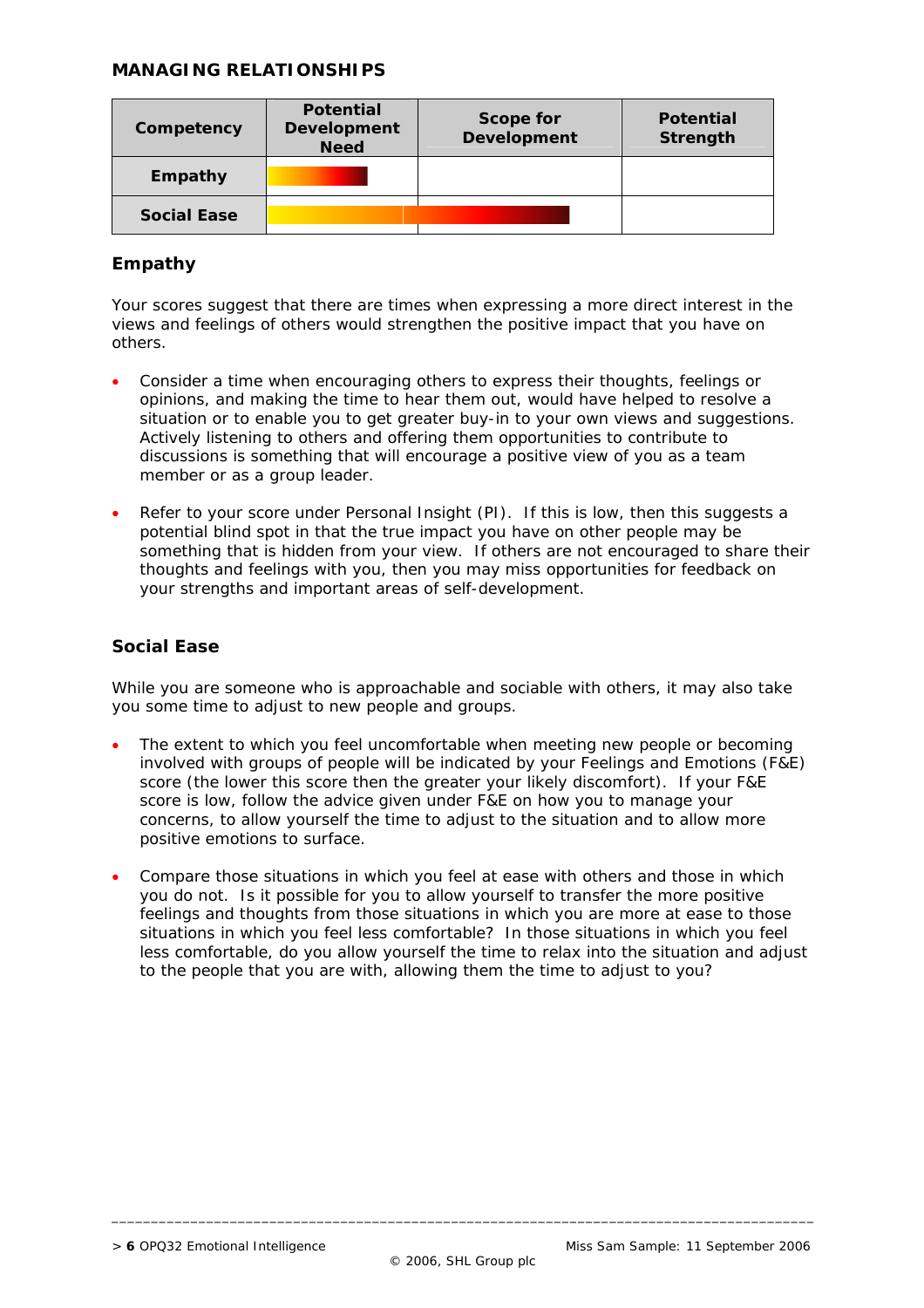#### **MANAGING RELATIONSHIPS**

| Competency         | <b>Potential</b><br>Development<br><b>Need</b> | Scope for<br><b>Development</b> | <b>Potential</b><br>Strength |
|--------------------|------------------------------------------------|---------------------------------|------------------------------|
| Empathy            |                                                |                                 |                              |
| <b>Social Ease</b> |                                                |                                 |                              |

# **Empathy**

Your scores suggest that there are times when expressing a more direct interest in the views and feelings of others would strengthen the positive impact that you have on others.

- Consider a time when encouraging others to express their thoughts, feelings or opinions, and making the time to hear them out, would have helped to resolve a situation or to enable you to get greater buy-in to your own views and suggestions. Actively listening to others and offering them opportunities to contribute to discussions is something that will encourage a positive view of you as a team member or as a group leader.
- Refer to your score under Personal Insight (PI). If this is low, then this suggests a potential blind spot in that the true impact you have on other people may be something that is hidden from your view. If others are not encouraged to share their thoughts and feelings with you, then you may miss opportunities for feedback on your strengths and important areas of self-development.

# **Social Ease**

While you are someone who is approachable and sociable with others, it may also take you some time to adjust to new people and groups.

- The extent to which you feel uncomfortable when meeting new people or becoming involved with groups of people will be indicated by your Feelings and Emotions (F&E) score (the lower this score then the greater your likely discomfort). If your F&E score is low, follow the advice given under F&E on how you to manage your concerns, to allow yourself the time to adjust to the situation and to allow more positive emotions to surface.
- Compare those situations in which you feel at ease with others and those in which you do not. Is it possible for you to allow yourself to transfer the more positive feelings and thoughts from those situations in which you are more at ease to those situations in which you feel less comfortable? In those situations in which you feel less comfortable, do you allow yourself the time to relax into the situation and adjust to the people that you are with, allowing them the time to adjust to you?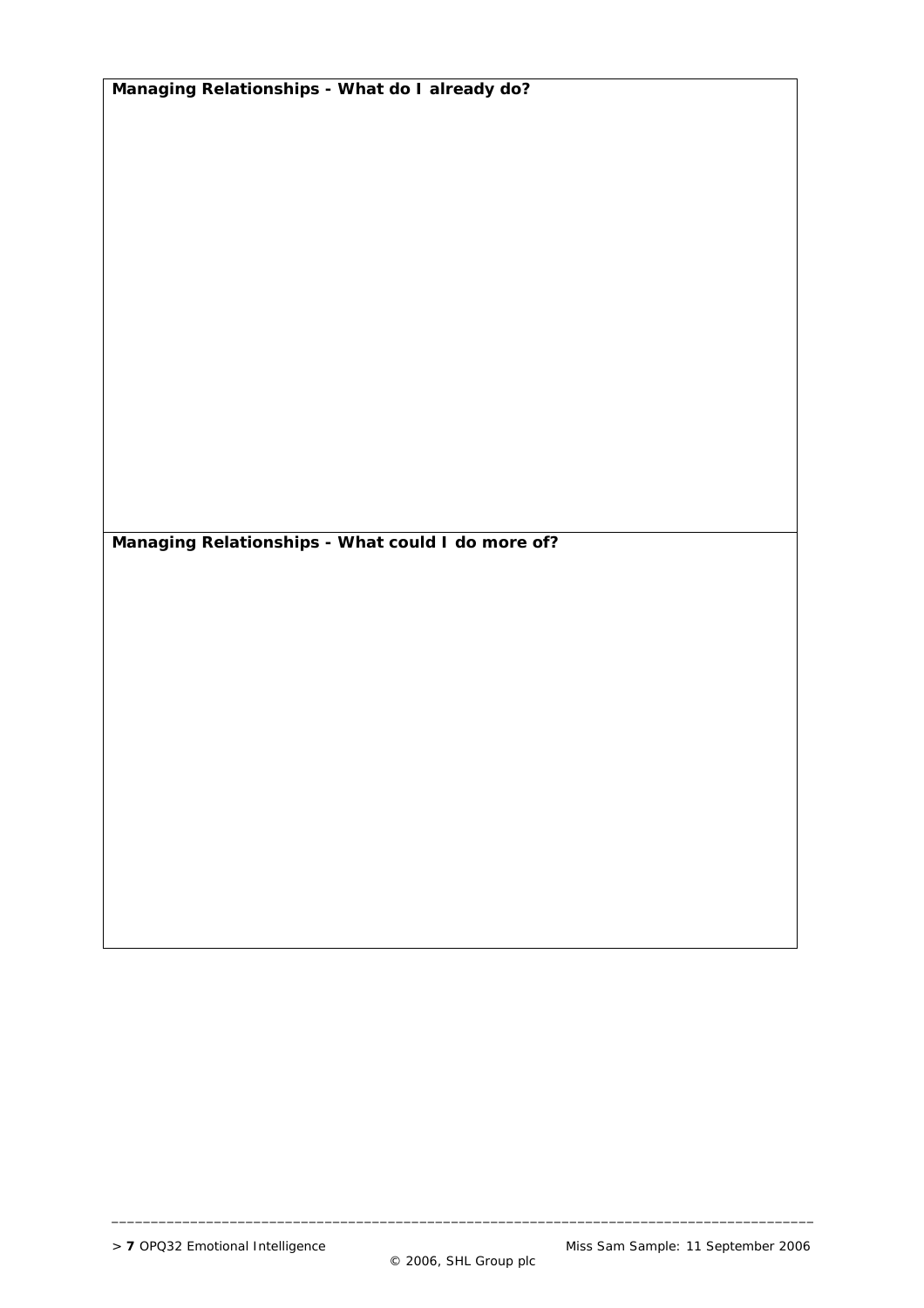| Managing Relationships - What do I already do? |                                                   |  |  |
|------------------------------------------------|---------------------------------------------------|--|--|
|                                                |                                                   |  |  |
|                                                |                                                   |  |  |
|                                                |                                                   |  |  |
|                                                |                                                   |  |  |
|                                                |                                                   |  |  |
|                                                |                                                   |  |  |
|                                                |                                                   |  |  |
|                                                |                                                   |  |  |
|                                                |                                                   |  |  |
|                                                |                                                   |  |  |
|                                                |                                                   |  |  |
|                                                |                                                   |  |  |
|                                                | Managing Relationships - What could I do more of? |  |  |
|                                                |                                                   |  |  |
|                                                |                                                   |  |  |
|                                                |                                                   |  |  |
|                                                |                                                   |  |  |
|                                                |                                                   |  |  |
|                                                |                                                   |  |  |
|                                                |                                                   |  |  |
|                                                |                                                   |  |  |
|                                                |                                                   |  |  |
|                                                |                                                   |  |  |
|                                                |                                                   |  |  |
|                                                |                                                   |  |  |